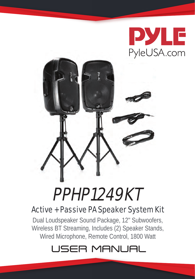



# PPHP1249KT

## Active + Passive PA Speaker System Kit

Dual Loudspeaker Sound Package, 12'' Subwoofers, Wireless BT Streaming, Includes (2) Speaker Stands, Wired Microphone, Remote Control, 1800 Watt

## USER MANUAL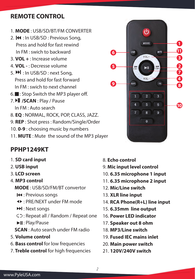### **REMOTE CONTROL**

- 1. **MODE** : USB/SD/BT/FM CONVERTER
- 2. << : In USB/SD : Previous Song, Press and hold for fast rewind In FM : swich to backward
- 3. **VOL +** : Increase volume
- 4. **VOL -** : Decresse volume
- 5.  $M$ : In USB/SD: next Song, Press and hold for fast forward In FM : swich to next channel
- $6.$ : Stop Switch the MP3 player off.
- 7. **Il /SCAN** : Play / Pause In FM : Auto search
- 8. **EQ** : NORMAL, ROCK, POP, CLASS, JAZZ.
- 9. **REP** : Shot press : Random/Single/Order
- 10. **0-9** : choosing music by numbers
- 11. **MUTE** : Mute the sound of the MP3 player

### **PPHP1249KT**

- 1. **SD card input**
- 2. **USB input**
- 3. **LCD screen**
- 4. **MP3 control**

 **MODE** : USB/SD/FM/BT convertor

- : Previous songs
- : PRE/NEXT under FM mode
- : Next songs
- : Repeat all / Random / Repeat one
- **I:** Play/Pause

 **SCAN** : Auto search under FM radio

- 5. **Volume control**
- 6. **Bass control** for low frequencies
- 7. **Treble control** for high frequencies
- 8. **Echo control**
- 9. **Mic input level control**
- 10. **6.35 microphone 1 input**
- 11. **6.35 microphone 2 input**
- 12. **Mic/Line switch**
- 13. **XLR line input**
- 14. **RCA Phone(R+L) line input**
- 15. **6.35mm line output**
- 16. **Power LED indicator**
- 17. **Speaker out 8 ohm**
- 18. **MP3/Line switch**
- 19. **Fused IEC mains inlet**
- 20. **Main power switch**
- 21. **120V/240V switch**

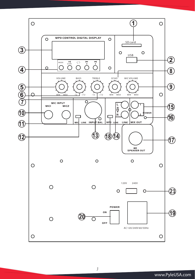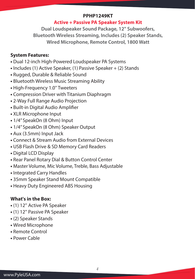#### **PPHP1249KT**

#### **Active + Passive PA Speaker System Kit**

**Dual Loudspeaker Sound Package, 12'' Subwoofers, Bluetooth Wireless Streaming, Includes (2) Speaker Stands, Wired Microphone, Remote Control, 1800 Watt**

#### **System Features:**

- Dual 12-inch High-Powered Loudspeaker PA Systems
- Includes (1) Active Speaker, (1) Passive Speaker + (2) Stands
- Rugged, Durable & Reliable Sound
- Bluetooth Wireless Music Streaming Ability
- High-Frequency 1.0'' Tweeters
- Compression Driver with Titanium Diaphragm
- 2-Way Full Range Audio Projection
- Built-in Digital Audio Amplifier
- XLR Microphone Input
- 1/4'' SpeakOn (8 Ohm) Input
- 1/4'' SpeakOn (8 Ohm) Speaker Output
- Aux (3.5mm) Input Jack
- Connect & Stream Audio from External Devices
- USB Flash Drive & SD Memory Card Readers
- Digital LCD Display
- Rear Panel Rotary Dial & Button Control Center
- Master Volume, Mic Volume, Treble, Bass Adjustable
- Integrated Carry Handles
- 35mm Speaker Stand Mount Compatible
- Heavy Duty Engineered ABS Housing

#### **What's in the Box:**

- (1) 12'' Active PA Speaker
- (1) 12'' Passive PA Speaker
- (2) Speaker Stands
- Wired Microphone
- Remote Control
- Power Cable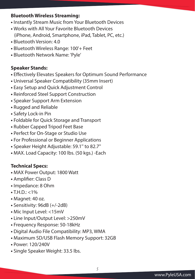#### **Bluetooth Wireless Streaming:**

- Instantly Stream Music from Your Bluetooth Devices
- Works with All Your Favorite Bluetooth Devices (iPhone, Android, Smartphone, iPad, Tablet, PC, etc.)
- Bluetooth Version: 4.0
- Bluetooth Wireless Range: 100'+ Feet
- Bluetooth Network Name: 'Pyle'

#### **Speaker Stands:**

- Effectively Elevates Speakers for Optimum Sound Performance
- Universal Speaker Compatibility (35mm Insert)
- Easy Setup and Quick Adjustment Control
- Reinforced Steel Support Construction
- Speaker Support Arm Extension
- Rugged and Reliable
- Safety Lock-in Pin
- Foldable for Quick Storage and Transport
- Rubber Capped Tripod Feet Base
- Perfect for On-Stage or Studio Use
- For Professional or Beginner Applications
- Speaker Height Adjustable: 59.1'' to 82.7''
- MAX. Load Capacity: 100 lbs. (50 kgs.) -Each

#### **Technical Specs:**

- MAX Power Output: 1800 Watt
- Amplifier: Class D
- Impedance: 8 Ohm
- $\bullet$  T.H.D.: <1%
- Magnet: 40 oz.
- Sensitivity: 96dB (+/-2dB)
- Mic Input Level: <15mV
- Line Input/Output Level: >250mV
- Frequency Response: 50-18kHz
- Digital Audio File Compatibility: MP3, WMA
- Maximum SD/USB Flash Memory Support: 32GB
- Power: 120/240V
- Single Speaker Weight: 33.5 lbs.